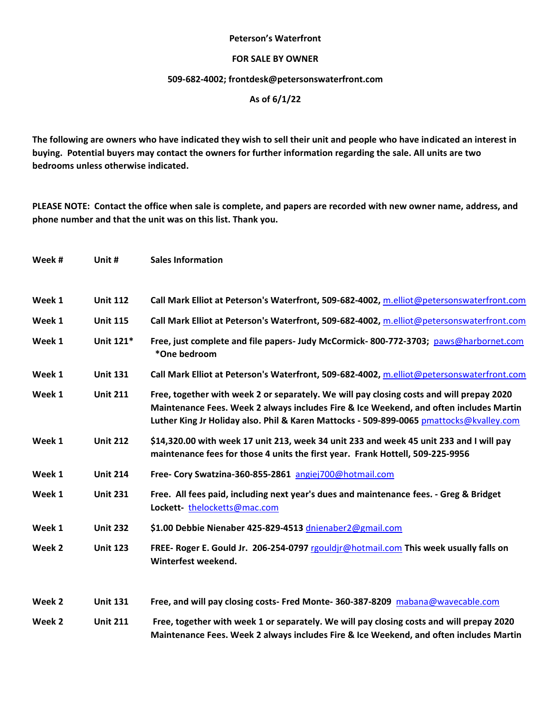#### **Peterson's Waterfront**

### **FOR SALE BY OWNER**

### **509-682-4002; [frontdesk@petersonswaterfront.com](mailto:frontdesk@petersonswaterfront.com)**

## **As of 6/1/22**

**The following are owners who have indicated they wish to sell their unit and people who have indicated an interest in buying. Potential buyers may contact the owners for further information regarding the sale. All units are two bedrooms unless otherwise indicated.** 

**PLEASE NOTE: Contact the office when sale is complete, and papers are recorded with new owner name, address, and phone number and that the unit was on this list. Thank you.**

| Week # | Unit #          | <b>Sales Information</b>                                                                                                                                                                                                                                                      |
|--------|-----------------|-------------------------------------------------------------------------------------------------------------------------------------------------------------------------------------------------------------------------------------------------------------------------------|
| Week 1 | <b>Unit 112</b> | Call Mark Elliot at Peterson's Waterfront, 509-682-4002, m.elliot@petersonswaterfront.com                                                                                                                                                                                     |
| Week 1 | <b>Unit 115</b> | Call Mark Elliot at Peterson's Waterfront, 509-682-4002, m.elliot@petersonswaterfront.com                                                                                                                                                                                     |
| Week 1 | Unit 121*       | Free, just complete and file papers- Judy McCormick-800-772-3703; paws@harbornet.com<br>*One bedroom                                                                                                                                                                          |
| Week 1 | <b>Unit 131</b> | Call Mark Elliot at Peterson's Waterfront, 509-682-4002, m.elliot@petersonswaterfront.com                                                                                                                                                                                     |
| Week 1 | <b>Unit 211</b> | Free, together with week 2 or separately. We will pay closing costs and will prepay 2020<br>Maintenance Fees. Week 2 always includes Fire & Ice Weekend, and often includes Martin<br>Luther King Jr Holiday also. Phil & Karen Mattocks - 509-899-0065 pmattocks@kvalley.com |
| Week 1 | <b>Unit 212</b> | \$14,320.00 with week 17 unit 213, week 34 unit 233 and week 45 unit 233 and I will pay<br>maintenance fees for those 4 units the first year. Frank Hottell, 509-225-9956                                                                                                     |
| Week 1 | <b>Unit 214</b> | Free- Cory Swatzina-360-855-2861 angiej700@hotmail.com                                                                                                                                                                                                                        |
| Week 1 | <b>Unit 231</b> | Free. All fees paid, including next year's dues and maintenance fees. - Greg & Bridget<br>Lockett-thelocketts@mac.com                                                                                                                                                         |
| Week 1 | <b>Unit 232</b> | \$1.00 Debbie Nienaber 425-829-4513 dnienaber2@gmail.com                                                                                                                                                                                                                      |
| Week 2 | <b>Unit 123</b> | FREE- Roger E. Gould Jr. 206-254-0797 rgouldjr@hotmail.com This week usually falls on<br>Winterfest weekend.                                                                                                                                                                  |
| Week 2 | <b>Unit 131</b> | Free, and will pay closing costs- Fred Monte- 360-387-8209 mabana@wavecable.com                                                                                                                                                                                               |
| Week 2 | <b>Unit 211</b> | Free, together with week 1 or separately. We will pay closing costs and will prepay 2020<br>Maintenance Fees. Week 2 always includes Fire & Ice Weekend, and often includes Martin                                                                                            |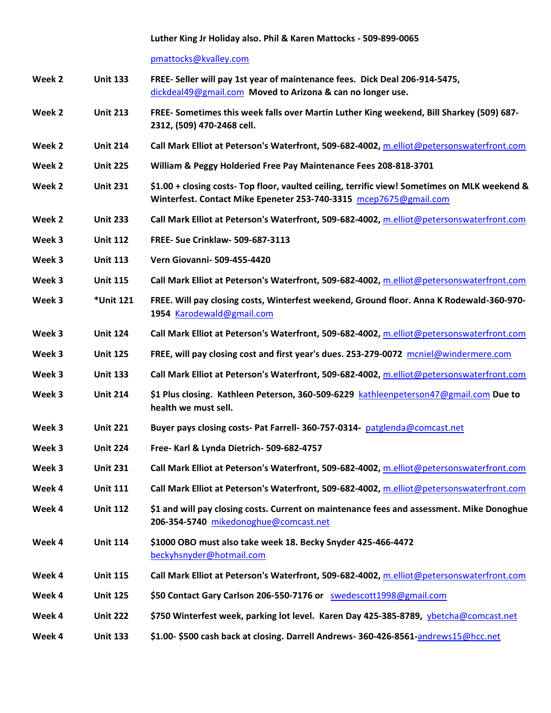#### **Luther King Jr Holiday also. Phil & Karen Mattocks - 509-899-0065**

[pmattocks@kvalley.com](mailto:pmattocks@kvalley.com)

- **Week 2 Unit 133 FREE- Seller will pay 1st year of maintenance fees. Dick Deal 206-914-5475,**  [dickdeal49@gmail.com](mailto:dickdeal49@gmail.com) **Moved to Arizona & can no longer use.**
- **Week 2 Unit 213 FREE- Sometimes this week falls over Martin Luther King weekend, Bill Sharkey (509) 687- 2312, (509) 470-2468 cell.**
- **Week 2 Unit 214 Call Mark Elliot at Peterson's Waterfront, 509-682-4002,** [m.elliot@petersonswaterfront.com](mailto:m.elliot@petersonswaterfront.com)
- **Week 2 Unit 225 William & Peggy Holderied Free Pay Maintenance Fees 208-818-3701**
- **Week 2 Unit 231 \$1.00 + closing costs- Top floor, vaulted ceiling, terrific view! Sometimes on MLK weekend & Winterfest. Contact Mike Epeneter 253-740-3315** [mcep7675@gmail.com](mailto:mcep7675@gmail.com)
- **Week 2 Unit 233 Call Mark Elliot at Peterson's Waterfront, 509-682-4002,** [m.elliot@petersonswaterfront.com](mailto:m.elliot@petersonswaterfront.com)
- **Week 3 Unit 112 FREE- Sue Crinklaw- 509-687-3113**
- **Week 3 Unit 113 Vern Giovanni- 509-455-4420**
- **Week 3 Unit 115 Call Mark Elliot at Peterson's Waterfront, 509-682-4002,** [m.elliot@petersonswaterfront.com](mailto:m.elliot@petersonswaterfront.com)
- **Week 3 \*Unit 121 FREE. Will pay closing costs, Winterfest weekend, Ground floor. Anna K Rodewald-360-970- 1954** [Karodewald@gmail.com](mailto:Karodewald@gmail.com)
- **Week 3 Unit 124 Call Mark Elliot at Peterson's Waterfront, 509-682-4002,** [m.elliot@petersonswaterfront.com](mailto:m.elliot@petersonswaterfront.com)
- **Week 3 Unit 125 FREE, will pay closing cost and first year's dues. 253-279-0072** [mcniel@windermere.com](mailto:mcniel@windermere.com)
- **Week 3 Unit 133 Call Mark Elliot at Peterson's Waterfront, 509-682-4002,** [m.elliot@petersonswaterfront.com](mailto:m.elliot@petersonswaterfront.com)
- **Week 3 Unit 214 \$1 Plus closing. Kathleen Peterson, 360-509-6229** [kathleenpeterson47@gmail.com](mailto:kathleenpeterson47@gmail.com) **Due to health we must sell.**
- **Week 3 Unit 221 Buyer pays closing costs- Pat Farrell- 360-757-0314-** [patglenda@comcast.net](mailto:patglenda@comcast.net)
- **Week 3 Unit 224 Free- Karl & Lynda Dietrich- 509-682-4757**
- **Week 3 Unit 231 Call Mark Elliot at Peterson's Waterfront, 509-682-4002,** [m.elliot@petersonswaterfront.com](mailto:m.elliot@petersonswaterfront.com)
- **Week 4 Unit 111 Call Mark Elliot at Peterson's Waterfront, 509-682-4002,** [m.elliot@petersonswaterfront.com](mailto:m.elliot@petersonswaterfront.com)
- **Week 4 Unit 112 \$1 and will pay closing costs. Current on maintenance fees and assessment. Mike Donoghue 206-354-5740** [mikedonoghue@comcast.net](mailto:mikedonoghue@comcast.net)
- **Week 4 Unit 114 \$1000 OBO must also take week 18. Becky Snyder 425-466-4472**  [beckyhsnyder@hotmail.com](mailto:beckyhsnyder@hotmail.com)
- **Week 4 Unit 115 Call Mark Elliot at Peterson's Waterfront, 509-682-4002,** [m.elliot@petersonswaterfront.com](mailto:m.elliot@petersonswaterfront.com)
- **Week 4 Unit 125 \$50 Contact Gary Carlson 206-550-7176 or** [swedescott1998@gmail.com](mailto:swedescott1998@gmail.com)
- **Week 4 Unit 222 \$750 Winterfest week, parking lot level. Karen Day 425-385-8789,** [ybetcha@comcast.net](mailto:ybetcha@comcast.net)
- **Week 4 Unit 133 \$1.00- \$500 cash back at closing. Darrell Andrews- 360-426-8561-**[andrews15@hcc.net](mailto:andrews15@hcc.net)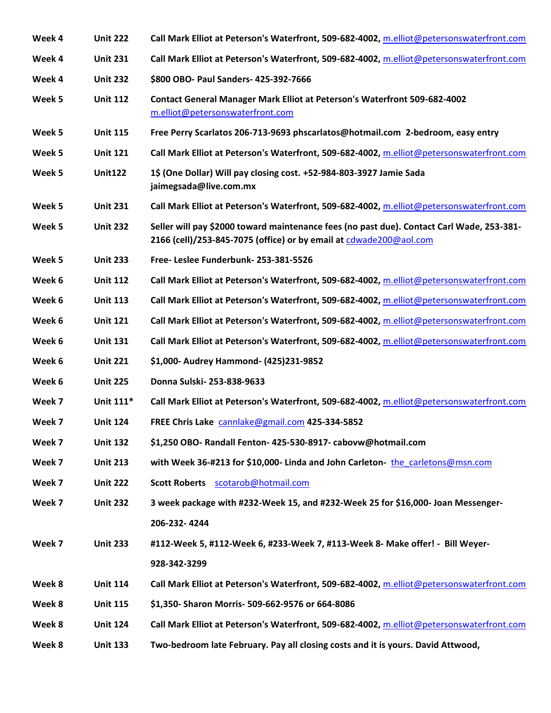| Week 4 | <b>Unit 222</b> | Call Mark Elliot at Peterson's Waterfront, 509-682-4002, m.elliot@petersonswaterfront.com                                                                       |
|--------|-----------------|-----------------------------------------------------------------------------------------------------------------------------------------------------------------|
| Week 4 | <b>Unit 231</b> | Call Mark Elliot at Peterson's Waterfront, 509-682-4002, m.elliot@petersonswaterfront.com                                                                       |
| Week 4 | <b>Unit 232</b> | \$800 OBO- Paul Sanders- 425-392-7666                                                                                                                           |
| Week 5 | <b>Unit 112</b> | <b>Contact General Manager Mark Elliot at Peterson's Waterfront 509-682-4002</b><br>m.elliot@petersonswaterfront.com                                            |
| Week 5 | <b>Unit 115</b> | Free Perry Scarlatos 206-713-9693 phscarlatos@hotmail.com 2-bedroom, easy entry                                                                                 |
| Week 5 | <b>Unit 121</b> | Call Mark Elliot at Peterson's Waterfront, 509-682-4002, m.elliot@petersonswaterfront.com                                                                       |
| Week 5 | <b>Unit122</b>  | 1\$ (One Dollar) Will pay closing cost. +52-984-803-3927 Jamie Sada<br>jaimegsada@live.com.mx                                                                   |
| Week 5 | <b>Unit 231</b> | Call Mark Elliot at Peterson's Waterfront, 509-682-4002, m.elliot@petersonswaterfront.com                                                                       |
| Week 5 | <b>Unit 232</b> | Seller will pay \$2000 toward maintenance fees (no past due). Contact Carl Wade, 253-381-<br>2166 (cell)/253-845-7075 (office) or by email at cdwade200@aol.com |
| Week 5 | <b>Unit 233</b> | Free-Leslee Funderbunk-253-381-5526                                                                                                                             |
| Week 6 | <b>Unit 112</b> | Call Mark Elliot at Peterson's Waterfront, 509-682-4002, m.elliot@petersonswaterfront.com                                                                       |
| Week 6 | <b>Unit 113</b> | Call Mark Elliot at Peterson's Waterfront, 509-682-4002, m.elliot@petersonswaterfront.com                                                                       |
| Week 6 | <b>Unit 121</b> | Call Mark Elliot at Peterson's Waterfront, 509-682-4002, m.elliot@petersonswaterfront.com                                                                       |
| Week 6 | <b>Unit 131</b> | Call Mark Elliot at Peterson's Waterfront, 509-682-4002, m.elliot@petersonswaterfront.com                                                                       |
| Week 6 | <b>Unit 221</b> | \$1,000- Audrey Hammond- (425)231-9852                                                                                                                          |
| Week 6 | <b>Unit 225</b> | Donna Sulski-253-838-9633                                                                                                                                       |
| Week 7 | Unit 111*       | Call Mark Elliot at Peterson's Waterfront, 509-682-4002, m.elliot@petersonswaterfront.com                                                                       |
| Week 7 | <b>Unit 124</b> | FREE Chris Lake cannlake@gmail.com 425-334-5852                                                                                                                 |
| Week 7 | <b>Unit 132</b> | \$1,250 OBO- Randall Fenton- 425-530-8917- cabovw@hotmail.com                                                                                                   |
| Week 7 | <b>Unit 213</b> | with Week 36-#213 for \$10,000- Linda and John Carleton- the carletons@msn.com                                                                                  |
| Week 7 | <b>Unit 222</b> | Scott Roberts scotarob@hotmail.com                                                                                                                              |
| Week 7 | <b>Unit 232</b> | 3 week package with #232-Week 15, and #232-Week 25 for \$16,000- Joan Messenger-                                                                                |
|        |                 | 206-232-4244                                                                                                                                                    |
| Week 7 | <b>Unit 233</b> | #112-Week 5, #112-Week 6, #233-Week 7, #113-Week 8- Make offer! - Bill Weyer-                                                                                   |
|        |                 | 928-342-3299                                                                                                                                                    |
| Week 8 | <b>Unit 114</b> | Call Mark Elliot at Peterson's Waterfront, 509-682-4002, m.elliot@petersonswaterfront.com                                                                       |
| Week 8 | <b>Unit 115</b> | \$1,350- Sharon Morris- 509-662-9576 or 664-8086                                                                                                                |
| Week 8 | <b>Unit 124</b> | Call Mark Elliot at Peterson's Waterfront, 509-682-4002, m.elliot@petersonswaterfront.com                                                                       |
| Week 8 | <b>Unit 133</b> | Two-bedroom late February. Pay all closing costs and it is yours. David Attwood,                                                                                |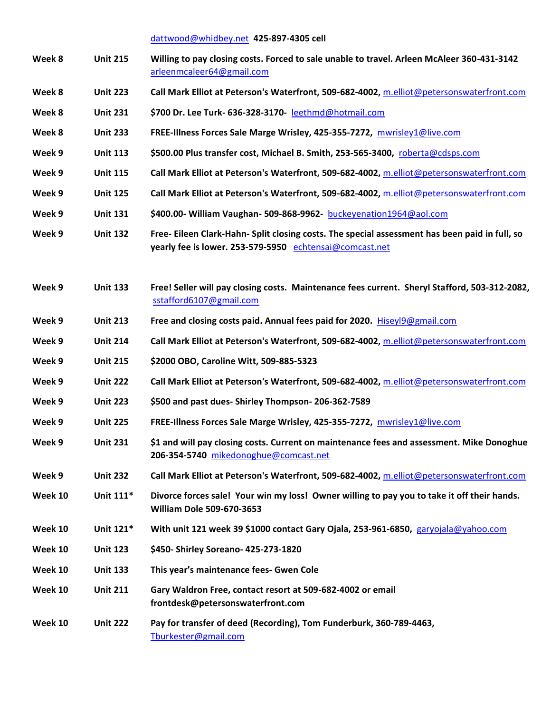[dattwood@whidbey.net](mailto:dattwood@whidbey.net) **425-897-4305 cell**

| Week 8  | <b>Unit 215</b> | Willing to pay closing costs. Forced to sale unable to travel. Arleen McAleer 360-431-3142<br>arleenmcaleer64@gmail.com                                   |
|---------|-----------------|-----------------------------------------------------------------------------------------------------------------------------------------------------------|
| Week 8  | <b>Unit 223</b> | Call Mark Elliot at Peterson's Waterfront, 509-682-4002, m.elliot@petersonswaterfront.com                                                                 |
| Week 8  | <b>Unit 231</b> | \$700 Dr. Lee Turk- 636-328-3170- leethmd@hotmail.com                                                                                                     |
| Week 8  | <b>Unit 233</b> | FREE-Illness Forces Sale Marge Wrisley, 425-355-7272, mwrisley1@live.com                                                                                  |
| Week 9  | <b>Unit 113</b> | \$500.00 Plus transfer cost, Michael B. Smith, 253-565-3400, roberta@cdsps.com                                                                            |
| Week 9  | <b>Unit 115</b> | Call Mark Elliot at Peterson's Waterfront, 509-682-4002, m.elliot@petersonswaterfront.com                                                                 |
| Week 9  | <b>Unit 125</b> | Call Mark Elliot at Peterson's Waterfront, 509-682-4002, m.elliot@petersonswaterfront.com                                                                 |
| Week 9  | <b>Unit 131</b> | \$400.00- William Vaughan- 509-868-9962- buckeyenation1964@aol.com                                                                                        |
| Week 9  | <b>Unit 132</b> | Free- Eileen Clark-Hahn- Split closing costs. The special assessment has been paid in full, so<br>yearly fee is lower. 253-579-5950 echtensai@comcast.net |
| Week 9  | <b>Unit 133</b> | Free! Seller will pay closing costs. Maintenance fees current. Sheryl Stafford, 503-312-2082,<br>sstafford6107@gmail.com                                  |
| Week 9  | <b>Unit 213</b> | Free and closing costs paid. Annual fees paid for 2020. Hiseyl9@gmail.com                                                                                 |
| Week 9  | <b>Unit 214</b> | Call Mark Elliot at Peterson's Waterfront, 509-682-4002, m.elliot@petersonswaterfront.com                                                                 |
| Week 9  | <b>Unit 215</b> | \$2000 OBO, Caroline Witt, 509-885-5323                                                                                                                   |
| Week 9  | <b>Unit 222</b> | Call Mark Elliot at Peterson's Waterfront, 509-682-4002, m.elliot@petersonswaterfront.com                                                                 |
| Week 9  | <b>Unit 223</b> | \$500 and past dues- Shirley Thompson-206-362-7589                                                                                                        |
| Week 9  | <b>Unit 225</b> | FREE-Illness Forces Sale Marge Wrisley, 425-355-7272, mwrisley1@live.com                                                                                  |
| Week 9  | <b>Unit 231</b> | \$1 and will pay closing costs. Current on maintenance fees and assessment. Mike Donoghue<br>206-354-5740 mikedonoghue@comcast.net                        |
| Week 9  | <b>Unit 232</b> | Call Mark Elliot at Peterson's Waterfront, 509-682-4002, m.elliot@petersonswaterfront.com                                                                 |
| Week 10 | Unit 111*       | Divorce forces sale! Your win my loss! Owner willing to pay you to take it off their hands.<br><b>William Dole 509-670-3653</b>                           |
| Week 10 | Unit 121*       | With unit 121 week 39 \$1000 contact Gary Ojala, 253-961-6850, garyojala@yahoo.com                                                                        |
| Week 10 | <b>Unit 123</b> | \$450- Shirley Soreano- 425-273-1820                                                                                                                      |
| Week 10 | <b>Unit 133</b> | This year's maintenance fees- Gwen Cole                                                                                                                   |
| Week 10 | <b>Unit 211</b> | Gary Waldron Free, contact resort at 509-682-4002 or email<br>frontdesk@petersonswaterfront.com                                                           |
| Week 10 | <b>Unit 222</b> | Pay for transfer of deed (Recording), Tom Funderburk, 360-789-4463,<br>Tburkester@gmail.com                                                               |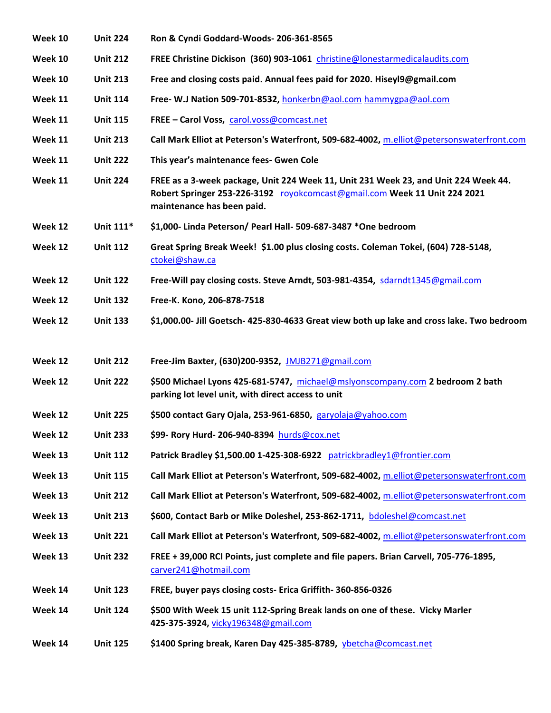| Week 10 | <b>Unit 224</b> | Ron & Cyndi Goddard-Woods-206-361-8565                                                                                                                                                         |
|---------|-----------------|------------------------------------------------------------------------------------------------------------------------------------------------------------------------------------------------|
| Week 10 | <b>Unit 212</b> | FREE Christine Dickison (360) 903-1061 christine@lonestarmedicalaudits.com                                                                                                                     |
| Week 10 | <b>Unit 213</b> | Free and closing costs paid. Annual fees paid for 2020. Hiseyl9@gmail.com                                                                                                                      |
| Week 11 | <b>Unit 114</b> | Free- W.J Nation 509-701-8532, honkerbn@aol.com hammygpa@aol.com                                                                                                                               |
| Week 11 | <b>Unit 115</b> | FREE - Carol Voss, carol.voss@comcast.net                                                                                                                                                      |
| Week 11 | <b>Unit 213</b> | Call Mark Elliot at Peterson's Waterfront, 509-682-4002, m.elliot@petersonswaterfront.com                                                                                                      |
| Week 11 | <b>Unit 222</b> | This year's maintenance fees- Gwen Cole                                                                                                                                                        |
| Week 11 | <b>Unit 224</b> | FREE as a 3-week package, Unit 224 Week 11, Unit 231 Week 23, and Unit 224 Week 44.<br>Robert Springer 253-226-3192 royokcomcast@gmail.com Week 11 Unit 224 2021<br>maintenance has been paid. |
| Week 12 | Unit 111*       | \$1,000- Linda Peterson/ Pearl Hall- 509-687-3487 *One bedroom                                                                                                                                 |
| Week 12 | <b>Unit 112</b> | Great Spring Break Week! \$1.00 plus closing costs. Coleman Tokei, (604) 728-5148,<br>ctokei@shaw.ca                                                                                           |
| Week 12 | <b>Unit 122</b> | Free-Will pay closing costs. Steve Arndt, 503-981-4354, sdarndt1345@gmail.com                                                                                                                  |
| Week 12 | <b>Unit 132</b> | Free-K. Kono, 206-878-7518                                                                                                                                                                     |
| Week 12 | <b>Unit 133</b> | \$1,000.00- Jill Goetsch- 425-830-4633 Great view both up lake and cross lake. Two bedroom                                                                                                     |
|         |                 |                                                                                                                                                                                                |
| Week 12 | <b>Unit 212</b> | Free-Jim Baxter, (630)200-9352, JMJB271@gmail.com                                                                                                                                              |
| Week 12 | <b>Unit 222</b> | \$500 Michael Lyons 425-681-5747, michael@mslyonscompany.com 2 bedroom 2 bath<br>parking lot level unit, with direct access to unit                                                            |
| Week 12 | <b>Unit 225</b> | \$500 contact Gary Ojala, 253-961-6850, garyolaja@yahoo.com                                                                                                                                    |
| Week 12 | <b>Unit 233</b> | \$99- Rory Hurd- 206-940-8394 hurds@cox.net                                                                                                                                                    |
| Week 13 | <b>Unit 112</b> | Patrick Bradley \$1,500.00 1-425-308-6922 patrickbradley1@frontier.com                                                                                                                         |
| Week 13 | <b>Unit 115</b> | Call Mark Elliot at Peterson's Waterfront, 509-682-4002, m.elliot@petersonswaterfront.com                                                                                                      |
| Week 13 | <b>Unit 212</b> | Call Mark Elliot at Peterson's Waterfront, 509-682-4002, m.elliot@petersonswaterfront.com                                                                                                      |
| Week 13 | <b>Unit 213</b> | \$600, Contact Barb or Mike Doleshel, 253-862-1711, bdoleshel@comcast.net                                                                                                                      |
| Week 13 | <b>Unit 221</b> | Call Mark Elliot at Peterson's Waterfront, 509-682-4002, m.elliot@petersonswaterfront.com                                                                                                      |
| Week 13 | <b>Unit 232</b> | FREE + 39,000 RCI Points, just complete and file papers. Brian Carvell, 705-776-1895,<br>carver241@hotmail.com                                                                                 |
| Week 14 | <b>Unit 123</b> | FREE, buyer pays closing costs- Erica Griffith- 360-856-0326                                                                                                                                   |
| Week 14 | <b>Unit 124</b> | \$500 With Week 15 unit 112-Spring Break lands on one of these. Vicky Marler<br>425-375-3924, vicky196348@gmail.com                                                                            |
| Week 14 | <b>Unit 125</b> | \$1400 Spring break, Karen Day 425-385-8789, ybetcha@comcast.net                                                                                                                               |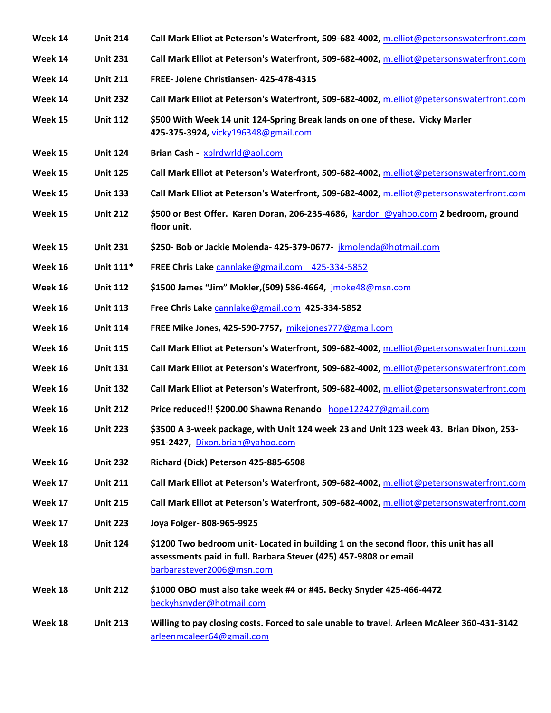| Week 14 | <b>Unit 214</b> | Call Mark Elliot at Peterson's Waterfront, 509-682-4002, m.elliot@petersonswaterfront.com                                                                                              |
|---------|-----------------|----------------------------------------------------------------------------------------------------------------------------------------------------------------------------------------|
| Week 14 | <b>Unit 231</b> | Call Mark Elliot at Peterson's Waterfront, 509-682-4002, m.elliot@petersonswaterfront.com                                                                                              |
| Week 14 | <b>Unit 211</b> | FREE- Jolene Christiansen- 425-478-4315                                                                                                                                                |
| Week 14 | <b>Unit 232</b> | Call Mark Elliot at Peterson's Waterfront, 509-682-4002, m.elliot@petersonswaterfront.com                                                                                              |
| Week 15 | <b>Unit 112</b> | \$500 With Week 14 unit 124-Spring Break lands on one of these. Vicky Marler<br>425-375-3924, vicky196348@gmail.com                                                                    |
| Week 15 | <b>Unit 124</b> | Brian Cash - xplrdwrld@aol.com                                                                                                                                                         |
| Week 15 | <b>Unit 125</b> | Call Mark Elliot at Peterson's Waterfront, 509-682-4002, m.elliot@petersonswaterfront.com                                                                                              |
| Week 15 | <b>Unit 133</b> | Call Mark Elliot at Peterson's Waterfront, 509-682-4002, m.elliot@petersonswaterfront.com                                                                                              |
| Week 15 | <b>Unit 212</b> | \$500 or Best Offer. Karen Doran, 206-235-4686, kardor @yahoo.com 2 bedroom, ground<br>floor unit.                                                                                     |
| Week 15 | <b>Unit 231</b> | \$250- Bob or Jackie Molenda- 425-379-0677- jkmolenda@hotmail.com                                                                                                                      |
| Week 16 | Unit 111*       | FREE Chris Lake cannlake@gmail.com 425-334-5852                                                                                                                                        |
| Week 16 | <b>Unit 112</b> | \$1500 James "Jim" Mokler, (509) 586-4664, jmoke48@msn.com                                                                                                                             |
| Week 16 | <b>Unit 113</b> | Free Chris Lake cannlake@gmail.com 425-334-5852                                                                                                                                        |
| Week 16 | <b>Unit 114</b> | FREE Mike Jones, 425-590-7757, mikejones777@gmail.com                                                                                                                                  |
| Week 16 | <b>Unit 115</b> | Call Mark Elliot at Peterson's Waterfront, 509-682-4002, m.elliot@petersonswaterfront.com                                                                                              |
| Week 16 | <b>Unit 131</b> | Call Mark Elliot at Peterson's Waterfront, 509-682-4002, m.elliot@petersonswaterfront.com                                                                                              |
| Week 16 | <b>Unit 132</b> | Call Mark Elliot at Peterson's Waterfront, 509-682-4002, m.elliot@petersonswaterfront.com                                                                                              |
| Week 16 | <b>Unit 212</b> | Price reduced!! \$200.00 Shawna Renando hope122427@gmail.com                                                                                                                           |
| Week 16 | <b>Unit 223</b> | \$3500 A 3-week package, with Unit 124 week 23 and Unit 123 week 43. Brian Dixon, 253-<br>951-2427, Dixon.brian@yahoo.com                                                              |
| Week 16 | <b>Unit 232</b> | Richard (Dick) Peterson 425-885-6508                                                                                                                                                   |
| Week 17 | <b>Unit 211</b> | Call Mark Elliot at Peterson's Waterfront, 509-682-4002, m.elliot@petersonswaterfront.com                                                                                              |
| Week 17 | <b>Unit 215</b> | Call Mark Elliot at Peterson's Waterfront, 509-682-4002, m.elliot@petersonswaterfront.com                                                                                              |
| Week 17 | <b>Unit 223</b> | Joya Folger-808-965-9925                                                                                                                                                               |
| Week 18 | <b>Unit 124</b> | \$1200 Two bedroom unit- Located in building 1 on the second floor, this unit has all<br>assessments paid in full. Barbara Stever (425) 457-9808 or email<br>barbarastever2006@msn.com |
| Week 18 | <b>Unit 212</b> | \$1000 OBO must also take week #4 or #45. Becky Snyder 425-466-4472<br>beckyhsnyder@hotmail.com                                                                                        |
| Week 18 | <b>Unit 213</b> | Willing to pay closing costs. Forced to sale unable to travel. Arleen McAleer 360-431-3142<br>arleenmcaleer64@gmail.com                                                                |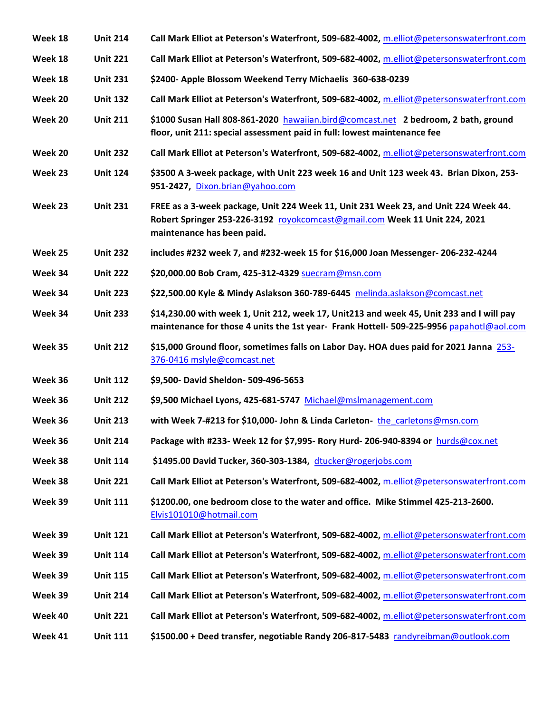| Week 18 | <b>Unit 214</b> | Call Mark Elliot at Peterson's Waterfront, 509-682-4002, m.elliot@petersonswaterfront.com                                                                                                       |
|---------|-----------------|-------------------------------------------------------------------------------------------------------------------------------------------------------------------------------------------------|
| Week 18 | <b>Unit 221</b> | Call Mark Elliot at Peterson's Waterfront, 509-682-4002, m.elliot@petersonswaterfront.com                                                                                                       |
| Week 18 | <b>Unit 231</b> | \$2400- Apple Blossom Weekend Terry Michaelis 360-638-0239                                                                                                                                      |
| Week 20 | <b>Unit 132</b> | Call Mark Elliot at Peterson's Waterfront, 509-682-4002, m.elliot@petersonswaterfront.com                                                                                                       |
| Week 20 | <b>Unit 211</b> | \$1000 Susan Hall 808-861-2020 hawaiian.bird@comcast.net 2 bedroom, 2 bath, ground<br>floor, unit 211: special assessment paid in full: lowest maintenance fee                                  |
| Week 20 | <b>Unit 232</b> | Call Mark Elliot at Peterson's Waterfront, 509-682-4002, m.elliot@petersonswaterfront.com                                                                                                       |
| Week 23 | <b>Unit 124</b> | \$3500 A 3-week package, with Unit 223 week 16 and Unit 123 week 43. Brian Dixon, 253-<br>951-2427, Dixon.brian@yahoo.com                                                                       |
| Week 23 | <b>Unit 231</b> | FREE as a 3-week package, Unit 224 Week 11, Unit 231 Week 23, and Unit 224 Week 44.<br>Robert Springer 253-226-3192 royokcomcast@gmail.com Week 11 Unit 224, 2021<br>maintenance has been paid. |
| Week 25 | <b>Unit 232</b> | includes #232 week 7, and #232-week 15 for \$16,000 Joan Messenger- 206-232-4244                                                                                                                |
| Week 34 | <b>Unit 222</b> | \$20,000.00 Bob Cram, 425-312-4329 suecram@msn.com                                                                                                                                              |
| Week 34 | <b>Unit 223</b> | \$22,500.00 Kyle & Mindy Aslakson 360-789-6445 melinda.aslakson@comcast.net                                                                                                                     |
| Week 34 | <b>Unit 233</b> | \$14,230.00 with week 1, Unit 212, week 17, Unit213 and week 45, Unit 233 and I will pay<br>maintenance for those 4 units the 1st year- Frank Hottell- 509-225-9956 papahotl@aol.com            |
|         |                 |                                                                                                                                                                                                 |
| Week 35 | <b>Unit 212</b> | \$15,000 Ground floor, sometimes falls on Labor Day. HOA dues paid for 2021 Janna 253-<br>376-0416 mslyle@comcast.net                                                                           |
| Week 36 | <b>Unit 112</b> | \$9,500- David Sheldon- 509-496-5653                                                                                                                                                            |
| Week 36 | <b>Unit 212</b> | \$9,500 Michael Lyons, 425-681-5747 Michael@mslmanagement.com                                                                                                                                   |
| Week 36 | <b>Unit 213</b> | with Week 7-#213 for \$10,000- John & Linda Carleton- the carletons@msn.com                                                                                                                     |
| Week 36 | <b>Unit 214</b> | Package with #233- Week 12 for \$7,995- Rory Hurd- 206-940-8394 or hurds@cox.net                                                                                                                |
| Week 38 | <b>Unit 114</b> | \$1495.00 David Tucker, 360-303-1384, dtucker@rogerjobs.com                                                                                                                                     |
| Week 38 | <b>Unit 221</b> | Call Mark Elliot at Peterson's Waterfront, 509-682-4002, m.elliot@petersonswaterfront.com                                                                                                       |
| Week 39 | <b>Unit 111</b> | \$1200.00, one bedroom close to the water and office. Mike Stimmel 425-213-2600.<br>Elvis101010@hotmail.com                                                                                     |
| Week 39 | <b>Unit 121</b> | Call Mark Elliot at Peterson's Waterfront, 509-682-4002, m.elliot@petersonswaterfront.com                                                                                                       |
| Week 39 | <b>Unit 114</b> | Call Mark Elliot at Peterson's Waterfront, 509-682-4002, m.elliot@petersonswaterfront.com                                                                                                       |
| Week 39 | <b>Unit 115</b> | Call Mark Elliot at Peterson's Waterfront, 509-682-4002, m.elliot@petersonswaterfront.com                                                                                                       |
| Week 39 | <b>Unit 214</b> | Call Mark Elliot at Peterson's Waterfront, 509-682-4002, m.elliot@petersonswaterfront.com                                                                                                       |
| Week 40 | <b>Unit 221</b> | Call Mark Elliot at Peterson's Waterfront, 509-682-4002, m.elliot@petersonswaterfront.com                                                                                                       |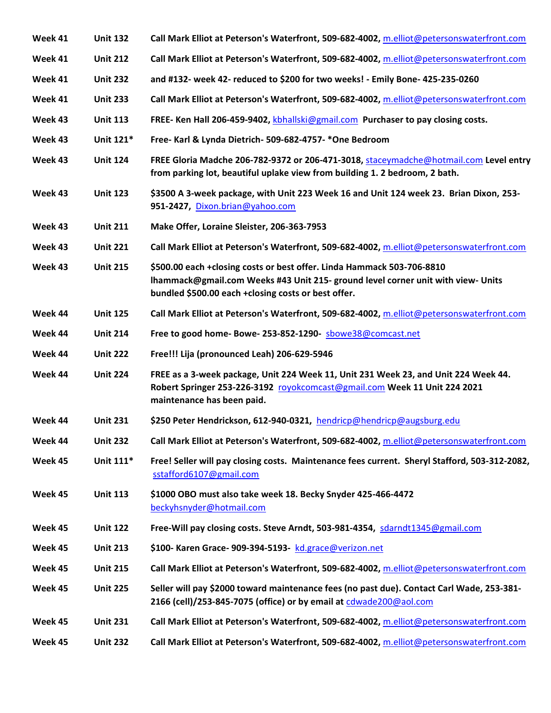| Week 41 | <b>Unit 132</b> | Call Mark Elliot at Peterson's Waterfront, 509-682-4002, m.elliot@petersonswaterfront.com                                                                                                                         |
|---------|-----------------|-------------------------------------------------------------------------------------------------------------------------------------------------------------------------------------------------------------------|
| Week 41 | <b>Unit 212</b> | Call Mark Elliot at Peterson's Waterfront, 509-682-4002, m.elliot@petersonswaterfront.com                                                                                                                         |
| Week 41 | <b>Unit 232</b> | and #132- week 42- reduced to \$200 for two weeks! - Emily Bone- 425-235-0260                                                                                                                                     |
| Week 41 | <b>Unit 233</b> | Call Mark Elliot at Peterson's Waterfront, 509-682-4002, m.elliot@petersonswaterfront.com                                                                                                                         |
| Week 43 | <b>Unit 113</b> | FREE- Ken Hall 206-459-9402, kbhallski@gmail.com Purchaser to pay closing costs.                                                                                                                                  |
| Week 43 | Unit 121*       | Free- Karl & Lynda Dietrich- 509-682-4757-*One Bedroom                                                                                                                                                            |
| Week 43 | <b>Unit 124</b> | FREE Gloria Madche 206-782-9372 or 206-471-3018, staceymadche@hotmail.com Level entry<br>from parking lot, beautiful uplake view from building 1. 2 bedroom, 2 bath.                                              |
| Week 43 | <b>Unit 123</b> | \$3500 A 3-week package, with Unit 223 Week 16 and Unit 124 week 23. Brian Dixon, 253-<br>951-2427, Dixon.brian@yahoo.com                                                                                         |
| Week 43 | <b>Unit 211</b> | Make Offer, Loraine Sleister, 206-363-7953                                                                                                                                                                        |
| Week 43 | <b>Unit 221</b> | Call Mark Elliot at Peterson's Waterfront, 509-682-4002, m.elliot@petersonswaterfront.com                                                                                                                         |
| Week 43 | <b>Unit 215</b> | \$500.00 each +closing costs or best offer. Linda Hammack 503-706-8810<br>Ihammack@gmail.com Weeks #43 Unit 215- ground level corner unit with view- Units<br>bundled \$500.00 each +closing costs or best offer. |
| Week 44 | <b>Unit 125</b> | Call Mark Elliot at Peterson's Waterfront, 509-682-4002, m.elliot@petersonswaterfront.com                                                                                                                         |
| Week 44 | <b>Unit 214</b> | Free to good home- Bowe-253-852-1290- sbowe38@comcast.net                                                                                                                                                         |
| Week 44 | <b>Unit 222</b> | Free!!! Lija (pronounced Leah) 206-629-5946                                                                                                                                                                       |
| Week 44 | <b>Unit 224</b> | FREE as a 3-week package, Unit 224 Week 11, Unit 231 Week 23, and Unit 224 Week 44.<br>Robert Springer 253-226-3192 royokcomcast@gmail.com Week 11 Unit 224 2021<br>maintenance has been paid.                    |
| Week 44 | <b>Unit 231</b> | \$250 Peter Hendrickson, 612-940-0321, hendricp@hendricp@augsburg.edu                                                                                                                                             |
| Week 44 | <b>Unit 232</b> | Call Mark Elliot at Peterson's Waterfront, 509-682-4002, m.elliot@petersonswaterfront.com                                                                                                                         |
| Week 45 | Unit 111*       | Free! Seller will pay closing costs. Maintenance fees current. Sheryl Stafford, 503-312-2082,<br>sstafford6107@gmail.com                                                                                          |
| Week 45 | <b>Unit 113</b> | \$1000 OBO must also take week 18. Becky Snyder 425-466-4472<br>beckyhsnyder@hotmail.com                                                                                                                          |
| Week 45 | <b>Unit 122</b> | Free-Will pay closing costs. Steve Arndt, 503-981-4354, sdarndt1345@gmail.com                                                                                                                                     |
| Week 45 | <b>Unit 213</b> | \$100- Karen Grace- 909-394-5193- kd.grace@verizon.net                                                                                                                                                            |
| Week 45 | <b>Unit 215</b> | Call Mark Elliot at Peterson's Waterfront, 509-682-4002, m.elliot@petersonswaterfront.com                                                                                                                         |
| Week 45 | <b>Unit 225</b> | Seller will pay \$2000 toward maintenance fees (no past due). Contact Carl Wade, 253-381-<br>2166 (cell)/253-845-7075 (office) or by email at cdwade200@aol.com                                                   |
| Week 45 | <b>Unit 231</b> | Call Mark Elliot at Peterson's Waterfront, 509-682-4002, m.elliot@petersonswaterfront.com                                                                                                                         |
| Week 45 | <b>Unit 232</b> | Call Mark Elliot at Peterson's Waterfront, 509-682-4002, m.elliot@petersonswaterfront.com                                                                                                                         |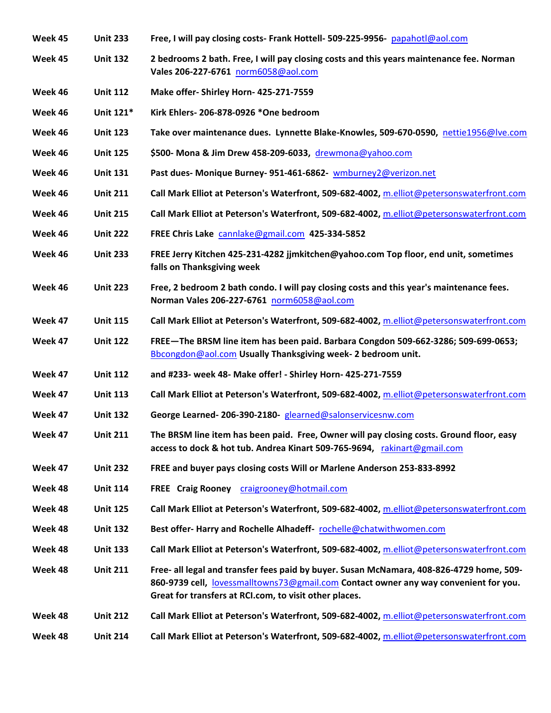| Week 45 | <b>Unit 233</b> | Free, I will pay closing costs- Frank Hottell- 509-225-9956- papahotl@aol.com                                                                                                                                                              |
|---------|-----------------|--------------------------------------------------------------------------------------------------------------------------------------------------------------------------------------------------------------------------------------------|
| Week 45 | <b>Unit 132</b> | 2 bedrooms 2 bath. Free, I will pay closing costs and this years maintenance fee. Norman<br>Vales 206-227-6761 norm6058@aol.com                                                                                                            |
| Week 46 | <b>Unit 112</b> | Make offer-Shirley Horn- 425-271-7559                                                                                                                                                                                                      |
| Week 46 | Unit 121*       | Kirk Ehlers-206-878-0926 *One bedroom                                                                                                                                                                                                      |
| Week 46 | <b>Unit 123</b> | Take over maintenance dues. Lynnette Blake-Knowles, 509-670-0590, nettie1956@lve.com                                                                                                                                                       |
| Week 46 | <b>Unit 125</b> | \$500- Mona & Jim Drew 458-209-6033, drewmona@yahoo.com                                                                                                                                                                                    |
| Week 46 | <b>Unit 131</b> | Past dues- Monique Burney- 951-461-6862- wmburney2@verizon.net                                                                                                                                                                             |
| Week 46 | <b>Unit 211</b> | Call Mark Elliot at Peterson's Waterfront, 509-682-4002, m.elliot@petersonswaterfront.com                                                                                                                                                  |
| Week 46 | <b>Unit 215</b> | Call Mark Elliot at Peterson's Waterfront, 509-682-4002, m.elliot@petersonswaterfront.com                                                                                                                                                  |
| Week 46 | <b>Unit 222</b> | FREE Chris Lake cannlake@gmail.com 425-334-5852                                                                                                                                                                                            |
| Week 46 | <b>Unit 233</b> | FREE Jerry Kitchen 425-231-4282 jjmkitchen@yahoo.com Top floor, end unit, sometimes<br>falls on Thanksgiving week                                                                                                                          |
| Week 46 | <b>Unit 223</b> | Free, 2 bedroom 2 bath condo. I will pay closing costs and this year's maintenance fees.<br>Norman Vales 206-227-6761 norm6058@aol.com                                                                                                     |
| Week 47 | <b>Unit 115</b> | Call Mark Elliot at Peterson's Waterfront, 509-682-4002, m.elliot@petersonswaterfront.com                                                                                                                                                  |
| Week 47 | <b>Unit 122</b> | FREE-The BRSM line item has been paid. Barbara Congdon 509-662-3286; 509-699-0653;<br>Bbcongdon@aol.com Usually Thanksgiving week- 2 bedroom unit.                                                                                         |
| Week 47 | <b>Unit 112</b> | and #233- week 48- Make offer! - Shirley Horn- 425-271-7559                                                                                                                                                                                |
| Week 47 | <b>Unit 113</b> | Call Mark Elliot at Peterson's Waterfront, 509-682-4002, m.elliot@petersonswaterfront.com                                                                                                                                                  |
| Week 47 | <b>Unit 132</b> | George Learned-206-390-2180- glearned@salonservicesnw.com                                                                                                                                                                                  |
| Week 47 | <b>Unit 211</b> | The BRSM line item has been paid. Free, Owner will pay closing costs. Ground floor, easy<br>access to dock & hot tub. Andrea Kinart 509-765-9694, rakinart@gmail.com                                                                       |
| Week 47 | <b>Unit 232</b> | FREE and buyer pays closing costs Will or Marlene Anderson 253-833-8992                                                                                                                                                                    |
| Week 48 | <b>Unit 114</b> | FREE Craig Rooney craigrooney@hotmail.com                                                                                                                                                                                                  |
| Week 48 | <b>Unit 125</b> | Call Mark Elliot at Peterson's Waterfront, 509-682-4002, m.elliot@petersonswaterfront.com                                                                                                                                                  |
| Week 48 | <b>Unit 132</b> | Best offer-Harry and Rochelle Alhadeff- rochelle@chatwithwomen.com                                                                                                                                                                         |
| Week 48 | <b>Unit 133</b> | Call Mark Elliot at Peterson's Waterfront, 509-682-4002, m.elliot@petersonswaterfront.com                                                                                                                                                  |
| Week 48 | <b>Unit 211</b> | Free- all legal and transfer fees paid by buyer. Susan McNamara, 408-826-4729 home, 509-<br>860-9739 cell, lovessmalltowns73@gmail.com Contact owner any way convenient for you.<br>Great for transfers at RCI.com, to visit other places. |
| Week 48 | <b>Unit 212</b> | Call Mark Elliot at Peterson's Waterfront, 509-682-4002, m.elliot@petersonswaterfront.com                                                                                                                                                  |
| Week 48 | <b>Unit 214</b> | Call Mark Elliot at Peterson's Waterfront, 509-682-4002, m.elliot@petersonswaterfront.com                                                                                                                                                  |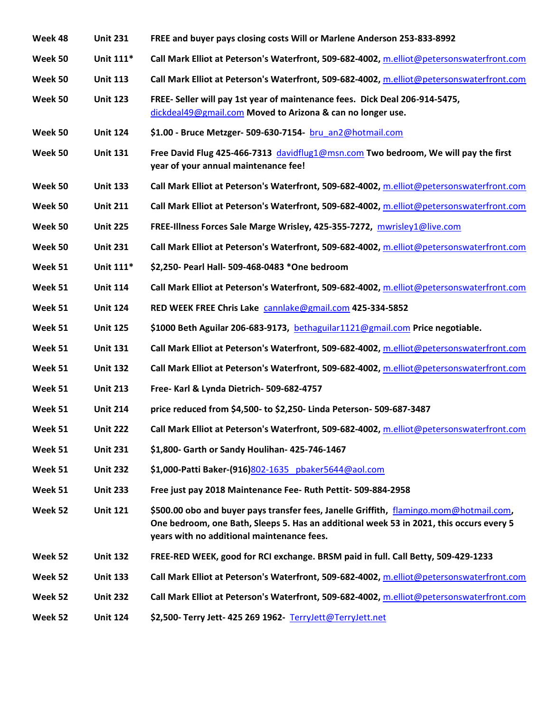| Week 48 | <b>Unit 231</b> | FREE and buyer pays closing costs Will or Marlene Anderson 253-833-8992                                                                                                                                                         |
|---------|-----------------|---------------------------------------------------------------------------------------------------------------------------------------------------------------------------------------------------------------------------------|
| Week 50 | Unit 111*       | Call Mark Elliot at Peterson's Waterfront, 509-682-4002, m.elliot@petersonswaterfront.com                                                                                                                                       |
| Week 50 | <b>Unit 113</b> | Call Mark Elliot at Peterson's Waterfront, 509-682-4002, m.elliot@petersonswaterfront.com                                                                                                                                       |
| Week 50 | <b>Unit 123</b> | FREE- Seller will pay 1st year of maintenance fees. Dick Deal 206-914-5475,<br>dickdeal49@gmail.com Moved to Arizona & can no longer use.                                                                                       |
| Week 50 | <b>Unit 124</b> | \$1.00 - Bruce Metzger- 509-630-7154- bru an2@hotmail.com                                                                                                                                                                       |
| Week 50 | <b>Unit 131</b> | Free David Flug 425-466-7313 davidflug1@msn.com Two bedroom, We will pay the first<br>year of your annual maintenance fee!                                                                                                      |
| Week 50 | <b>Unit 133</b> | Call Mark Elliot at Peterson's Waterfront, 509-682-4002, m.elliot@petersonswaterfront.com                                                                                                                                       |
| Week 50 | <b>Unit 211</b> | Call Mark Elliot at Peterson's Waterfront, 509-682-4002, m.elliot@petersonswaterfront.com                                                                                                                                       |
| Week 50 | <b>Unit 225</b> | FREE-Illness Forces Sale Marge Wrisley, 425-355-7272, mwrisley1@live.com                                                                                                                                                        |
| Week 50 | <b>Unit 231</b> | Call Mark Elliot at Peterson's Waterfront, 509-682-4002, m.elliot@petersonswaterfront.com                                                                                                                                       |
| Week 51 | Unit 111*       | \$2,250- Pearl Hall- 509-468-0483 *One bedroom                                                                                                                                                                                  |
| Week 51 | <b>Unit 114</b> | Call Mark Elliot at Peterson's Waterfront, 509-682-4002, m.elliot@petersonswaterfront.com                                                                                                                                       |
| Week 51 | <b>Unit 124</b> | RED WEEK FREE Chris Lake cannlake@gmail.com 425-334-5852                                                                                                                                                                        |
| Week 51 | <b>Unit 125</b> | \$1000 Beth Aguilar 206-683-9173, bethaguilar1121@gmail.com Price negotiable.                                                                                                                                                   |
| Week 51 | <b>Unit 131</b> | Call Mark Elliot at Peterson's Waterfront, 509-682-4002, m.elliot@petersonswaterfront.com                                                                                                                                       |
| Week 51 | <b>Unit 132</b> | Call Mark Elliot at Peterson's Waterfront, 509-682-4002, m.elliot@petersonswaterfront.com                                                                                                                                       |
| Week 51 | <b>Unit 213</b> | Free- Karl & Lynda Dietrich- 509-682-4757                                                                                                                                                                                       |
| Week 51 | <b>Unit 214</b> | price reduced from \$4,500- to \$2,250- Linda Peterson- 509-687-3487                                                                                                                                                            |
| Week 51 | <b>Unit 222</b> | Call Mark Elliot at Peterson's Waterfront, 509-682-4002, m.elliot@petersonswaterfront.com                                                                                                                                       |
| Week 51 | <b>Unit 231</b> | \$1,800- Garth or Sandy Houlihan- 425-746-1467                                                                                                                                                                                  |
| Week 51 | <b>Unit 232</b> | \$1,000-Patti Baker-(916)802-1635 pbaker5644@aol.com                                                                                                                                                                            |
| Week 51 | <b>Unit 233</b> | Free just pay 2018 Maintenance Fee- Ruth Pettit- 509-884-2958                                                                                                                                                                   |
| Week 52 | <b>Unit 121</b> | \$500.00 obo and buyer pays transfer fees, Janelle Griffith, flamingo.mom@hotmail.com,<br>One bedroom, one Bath, Sleeps 5. Has an additional week 53 in 2021, this occurs every 5<br>years with no additional maintenance fees. |
| Week 52 | <b>Unit 132</b> | FREE-RED WEEK, good for RCI exchange. BRSM paid in full. Call Betty, 509-429-1233                                                                                                                                               |
| Week 52 | <b>Unit 133</b> | Call Mark Elliot at Peterson's Waterfront, 509-682-4002, m.elliot@petersonswaterfront.com                                                                                                                                       |
| Week 52 | <b>Unit 232</b> | Call Mark Elliot at Peterson's Waterfront, 509-682-4002, m.elliot@petersonswaterfront.com                                                                                                                                       |
| Week 52 | <b>Unit 124</b> | \$2,500- Terry Jett- 425 269 1962- TerryJett@TerryJett.net                                                                                                                                                                      |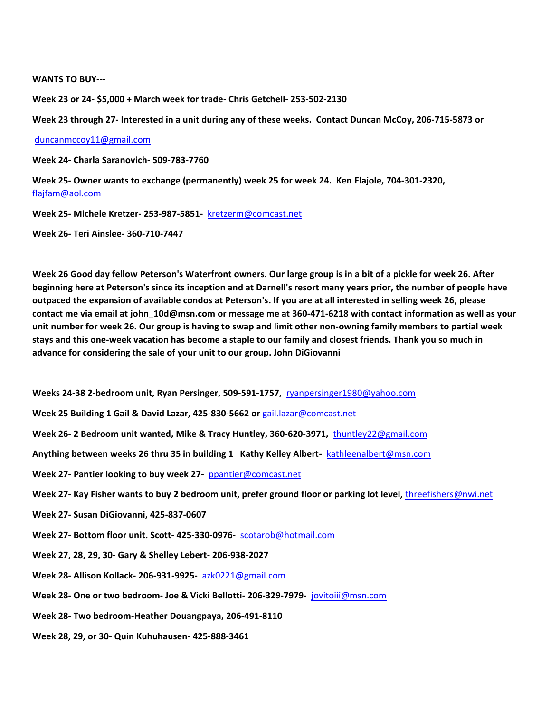**WANTS TO BUY---**

**Week 23 or 24- \$5,000 + March week for trade- Chris Getchell- 253-502-2130** 

**Week 23 through 27- Interested in a unit during any of these weeks. Contact Duncan McCoy, 206-715-5873 or**

[duncanmccoy11@gmail.com](mailto:duncanmccoy11@gmail.com)

**Week 24- Charla Saranovich- 509-783-7760** 

**Week 25- Owner wants to exchange (permanently) week 25 for week 24. Ken Flajole, 704-301-2320,**  [flajfam@aol.com](mailto:flajfam@aol.com)

**Week 25- Michele Kretzer- 253-987-5851-** [kretzerm@comcast.net](mailto:kretzerm@comcast.net)

**Week 26- Teri Ainslee- 360-710-7447**

**Week 26 Good day fellow Peterson's Waterfront owners. Our large group is in a bit of a pickle for week 26. After beginning here at Peterson's since its inception and at Darnell's resort many years prior, the number of people have outpaced the expansion of available condos at Peterson's. If you are at all interested in selling week 26, please contact me via email at [john\\_10d@msn.com](mailto:john_10d@msn.com) or message me at 360-471-6218 with contact information as well as your unit number for week 26. Our group is having to swap and limit other non-owning family members to partial week stays and this one-week vacation has become a staple to our family and closest friends. Thank you so much in advance for considering the sale of your unit to our group. John DiGiovanni**

**Weeks 24-38 2-bedroom unit, Ryan Persinger, 509-591-1757,** [ryanpersinger1980@yahoo.com](mailto:ryanpersinger1980@yahoo.com)

**Week 25 Building 1 Gail & David Lazar, 425-830-5662 or** [gail.lazar@comcast.net](mailto:gail.lazar@comcast.net)

**Week 26- 2 Bedroom unit wanted, Mike & Tracy Huntley, 360-620-3971,** [thuntley22@gmail.com](mailto:thuntley22@gmail.com)

**Anything between weeks 26 thru 35 in building 1 Kathy Kelley Albert-** [kathleenalbert@msn.com](mailto:kathleenalbert@msn.com)

**Week 27- Pantier looking to buy week 27-** [ppantier@comcast.net](mailto:ppantier@comcast.net)

**Week 27- Kay Fisher wants to buy 2 bedroom unit, prefer ground floor or parking lot level,** [threefishers@nwi.net](mailto:threefishers@nwi.net)

**Week 27- Susan DiGiovanni, 425-837-0607**

**Week 27- Bottom floor unit. Scott- 425-330-0976-** [scotarob@hotmail.com](mailto:scotarob@hotmail.com)

**Week 27, 28, 29, 30- Gary & Shelley Lebert- 206-938-2027**

**Week 28- Allison Kollack- 206-931-9925-** [azk0221@gmail.com](mailto:azk0221@gmail.com)

**Week 28- One or two bedroom- Joe & Vicki Bellotti- 206-329-7979-** [jovitoiii@msn.com](mailto:jovitoiii@msn.com)

**Week 28- Two bedroom-Heather Douangpaya, 206-491-8110**

**Week 28, 29, or 30- Quin Kuhuhausen- 425-888-3461**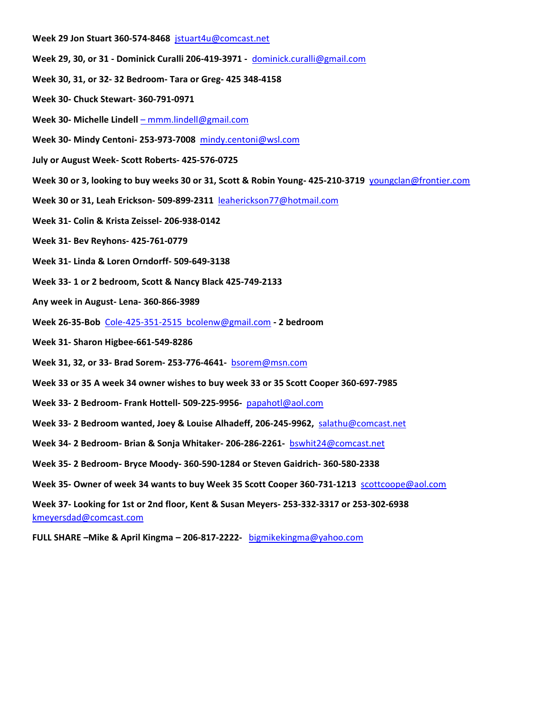- **Week 29 Jon Stuart 360-574-8468** [jstuart4u@comcast.net](mailto:jstuart4u@comcast.net)
- **Week 29, 30, or 31 - Dominick Curalli 206-419-3971 -** [dominick.curalli@gmail.com](mailto:dominick.curalli@gmail.com)
- **Week 30, 31, or 32- 32 Bedroom- Tara or Greg- 425 348-4158**
- **Week 30- Chuck Stewart- 360-791-0971**
- **Week 30- Michelle Lindell**  [mmm.lindell@gmail.com](mailto:–%20mmm.lindell@gmail.com)
- **Week 30- Mindy Centoni- 253-973-7008** [mindy.centoni@wsl.com](mailto:mindy.centoni@wsl.com)
- **July or August Week- Scott Roberts- 425-576-0725**
- **Week 30 or 3, looking to buy weeks 30 or 31, Scott & Robin Young- 425-210-3719** [youngclan@frontier.com](mailto:youngclan@frontier.com)
- **Week 30 or 31, Leah Erickson- 509-899-2311** [leaherickson77@hotmail.com](mailto:leaherickson77@hotmail.com)
- **Week 31- Colin & Krista Zeissel- 206-938-0142**
- **Week 31- Bev Reyhons- 425-761-0779**
- **Week 31- Linda & Loren Orndorff- 509-649-3138**
- **Week 33- 1 or 2 bedroom, Scott & Nancy Black 425-749-2133**
- **Any week in August- Lena- 360-866-3989**
- **Week 26-35-Bob** [Cole-425-351-2515 bcolenw@gmail.com](mailto:Cole-425-351-2515%20%20bcolenw@gmail.com) **- 2 bedroom**
- **Week 31- Sharon Higbee-661-549-8286**
- **Week 31, 32, or 33- Brad Sorem- 253-776-4641-** [bsorem@msn.com](mailto:bsorem@msn.com)
- **Week 33 or 35 A week 34 owner wishes to buy week 33 or 35 Scott Cooper 360-697-7985**
- **Week 33- 2 Bedroom- Frank Hottell- 509-225-9956-** [papahotl@aol.com](mailto:papahotl@aol.com)
- **Week 33- 2 Bedroom wanted, Joey & Louise Alhadeff, 206-245-9962,** [salathu@comcast.net](mailto:salathu@comcast.net)
- **Week 34- 2 Bedroom- Brian & Sonja Whitaker- 206-286-2261-** [bswhit24@comcast.net](mailto:bswhit24@comcast.net)
- **Week 35- 2 Bedroom- Bryce Moody- 360-590-1284 or Steven Gaidrich- 360-580-2338**
- **Week 35- Owner of week 34 wants to buy Week 35 Scott Cooper 360-731-1213** [scottcoope@aol.com](mailto:scottcoope@aol.com)

**Week 37- Looking for 1st or 2nd floor, Kent & Susan Meyers- 253-332-3317 or 253-302-6938**  [kmeyersdad@comcast.com](mailto:kmeyersdad@comcast.com)

**FULL SHARE –Mike & April Kingma – 206-817-2222-** [bigmikekingma@yahoo.com](mailto:bigmikekingma@yahoo.com)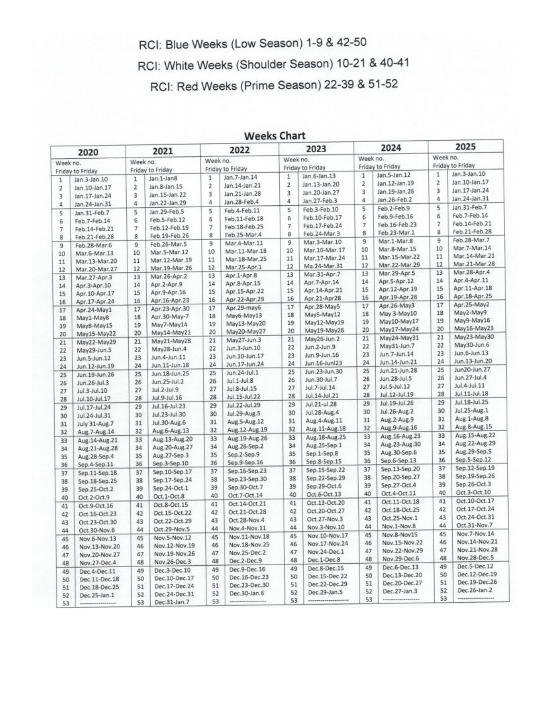RCI: Blue Weeks (Low Season) 1-9 & 42-50

RCI: White Weeks (Shoulder Season) 10-21 & 40-41

RCI: Red Weeks (Prime Season) 22-39 & 51-52

| 2020                    |                  | 2021             |                 | 2022             |                   | 2023             |                 | 2024           |                  | 2025                         |                  |
|-------------------------|------------------|------------------|-----------------|------------------|-------------------|------------------|-----------------|----------------|------------------|------------------------------|------------------|
|                         |                  |                  | Week no.        |                  | Week no.          |                  | Week no.        |                | Week no.         | Week no.<br>Friday to Friday |                  |
| Week no.                |                  | Friday to Friday |                 | Friday to Friday |                   | Friday to Friday |                 |                | Friday to Friday |                              |                  |
|                         | Friday to Friday |                  |                 | 1                | Jan.7-Jan.14      | 1                | Jan.6-Jan.13    | $\mathbf{1}$   | Jan.5-Jan.12     | $\mathbf{1}$                 | Jan.3-Jan.10     |
| 1                       | Jan.3-Jan.10     | 1                | Jan.1-Jan8      | $\overline{z}$   | Jan. 14-Jan. 21   | $\overline{2}$   | Jan.13-Jan.20   | $\overline{2}$ | Jan.12-Jan.19    | $\mathfrak{p}$               | Jan. 10-Jan. 17  |
| $\overline{2}$          | Jan.10-Jan.17    | $\mathbf{z}$     | Jan.8-Jan.15    | 3                | Jan.21-Jan.28     | 3                | Jan.20-Jan.27   | $\overline{3}$ | Jan.19-Jan.26    | $\overline{3}$               | Jan.17-Jan.24    |
| 3                       | Jan.17-Jan.24    | 3                | Jan.15-Jan.22   | 4                | Jan.28-Feb.4      | 4                | Jan.27-Feb.3    | A              | Jan.26-Feb.2     | 4                            | Jan.24-Jan.31    |
| 4                       | Jan.24-Jan.31    | 4                | Jan.22-Jan.29   |                  |                   | 5                | Feb.3-Feb.10    | 5              | Feb.2-Feb.9      | 5                            | Jan.31-Feb.7     |
| 5                       | Jan.31-Feb.7     | 5                | Jan.29-Feb.5    | 5                | Feb.4-Feb.11      | 6                | Feb.10-Feb.17   | 6              | Feb.9-Feb.16     | 6                            | Feb.7-Feb.14     |
| 6                       | Feb.7-Feb.14     | 6                | Feb.5-Feb.12    | 6                | Feb.11-Feb.18     |                  |                 | $\overline{7}$ | Feb.16-Feb.23    | $\overline{7}$               | Feb.14-Feb.21    |
| $\overline{7}$          | Feb.14-Feb.21    | 7                | Feb.12-Feb.19   | $\overline{7}$   | Feb.18-Feb.25     | $\overline{7}$   | Feb.17-Feb.24   | 8              | Feb.23-Mar.1     | 8                            | Feb.21-Feb.28    |
| $\overline{\mathbf{g}}$ | Feb.21-Feb.28    | 8                | Feb.19-Feb.26   | 8                | Feb.25-Mar.4      | 8                | Feb.24-Mar.3    | 9              | Mar.1-Mar.8      | 9                            | Feb.28-Mar.7     |
| $\overline{9}$          | Feb.28-Mar.6     | 9                | Feb.26-Mar.5    | 9                | Mar.4-Mar.11      | 9                | Mar.3-Mar.10    |                | Mar.8-Mar.15     | 10                           | Mar.7-Mar.14     |
| 10                      | Mar.6-Mar.13     | 10               | Mar.5-Mar.12    | 10               | Mar.11-Mar.18     | 10               | Mar.10-Mar.17   | 10             | Mar.15-Mar.22    | 11                           | Mar.14-Mar.21    |
| 11                      | Mar.13-Mar.20    | 11               | Mar.12-Mar.19   | 11               | Mar.18-Mar.25     | 11               | Mar.17-Mar.24   | 11             |                  | 12                           | Mar.21-Mar.28    |
| 12                      | Mar.20-Mar.27    | 12               | Mar.19-Mar.26   | 12               | Mar.25-Apr.1      | 12               | Ma.24-Mar.31    | 12             | Mar.22-Mar.29    |                              | Mar.28-Apr.4     |
| 13                      | Mar.27-Apr.3     | 13               | Mar.26-Apr.2    | 13               | Apr.1-Apr.8       | 13               | Mar.31-Apr.7    | 13             | Mar.29-Apr.5     | 13                           | Apr.4-Apr.11     |
| 14                      | Apr.3-Apr.10     | 14               | Apr.2-Apr.9     | 14               | Apr.8-Apr.15      | 14               | Apr.7-Apr.14    | 14             | Apr.5-Apr.12     | 14<br>15                     |                  |
| 15                      | Apr. 10-Apr. 17  | 15               | Apr.9-Apr.16    | 15               | Apr.15-Apr.22     | 15               | Apr.14-Apr.21   | 15             | Apr.12-Apr.19    |                              | Apr.11-Apr.18    |
| 16                      | Apr.17-Apr.24    | 16               | Apr.16-Apr.23   | 16               | Apr.22-Apr.29     | 16               | Apr.21-Apr28    | 16             | Apr.19-Apr.26    | 16                           | Apr.18-Apr.25    |
| 17                      | Apr.24-May1      | 17               | Apr.23-Apr.30   | 17               | Apr.29-may6       | 17               | Apr.28-May5     | 17             | Apr.26-May3      | 17                           | Apr.25-May2      |
| 18                      | May1-May8        | 18               | Apr.30-May-7    | 18               | May6-May13        | 18               | May5-May12      | 18             | May 3-May10      | 18                           | May2-May9        |
| 19                      | May8-May15       | 19               | May7-May14      | 19               | May13-May20       | 19               | May12-May19     | 19             | May10-May17      | 19                           | May9-May16       |
| 20                      | May15-May22      | 20               | May14-May21     | 20               | May20-May27       | 20               | May19-May26     | 20             | May17-May24      | 20                           | May16-May23      |
| 21                      | May22-May29      | 21               | May21-May28     | 21               | May27-Jun.3       | 21               | May26-Jun.2     | 21             | May24-May31      | 21                           | May23-May30      |
|                         |                  | 22               | May28-Jun.4     | 22               | Jun.3-Jun.10      | 22               | Jun.2-Jun.9     | 22             | May31-Jun.7      | 22                           | May30-Jun.6      |
| 22                      | May29-Jun.5      | 23               | Jun.4-Jun.11    | 23               | Jun.10-Jun.17     | 23               | Jun.9-Jun.16    | 23             | Jun.7-Jun.14     | 23                           | Jun.6-Jun.13     |
| 23                      | Jun.5-Jun.12     | 24               | Jun.11-Jun.18   | 24               | Jun.17-Jun.24     | 24               | Jun.16-Junl23   | 24             | Jun.14-Jun.21    | 24                           | Jun.13-Jun.20    |
| 24                      | Jun.12-Jun.19    |                  | Jun.18-Jun.25   | 25               | Jun.24-Jul.1      | 25               | Jun.23-Jun.30   | 25             | Jun.21-Jun.28    | 25                           | Jun20-Jun.27     |
| 25                      | Jun.19-Jun.26    | 25               |                 | 26               | Jul.1-Jul.8       | 26               | Jun.30-Jul.7    | 26             | Jun.28-Jul.5     | 26                           | Jun.27-Jul.4     |
| 26                      | Jun.26-Jul.3     | 26               | Jun.25-Jul.2    | 27               | Jul.8-Jul.15      | 27               | Jul.7-Jul.14    | 27             | Jul.5-Jul.12     | 27                           | Jul.4-Jul.11     |
| 27                      | Jul.3-Jul.10     | 27               | Jul.2-Jul.9     | 28               | Jul.15-Jul.22     | 28               | Jul.14-Jul.21   | 28             | Jul.12-Jul.19    | 28                           | Jul.11-Jul.18    |
| 28                      | Jul.10-Jul.17    | 28               | Jul.9-Jul.16    |                  |                   | 29               | Jul.21-ul.28    | 29             | Jul.19-Jul.26    | 29                           | Jul.18-Jul.25    |
| 29                      | Jul.17-Jul.24    | 29               | Jul.16-Jul.23   | 29               | Jul.22-Jul.29     | 30               | Jul.28-Aug.4    | 30             | Jul.26-Aug.2     | 30                           | Jul.25-Aug.1     |
| 30                      | Jul.24-Jul.31    | 30               | Jul. 23-Jul. 30 | 30               | Jul.29-Aug.5      |                  | Aug. 4-Aug. 11  | 31             | Aug.2-Aug.9      | 31                           | Aug.1-Aug.8      |
| 31                      | July 31-Aug.7    | 31               | Jul.30-Aug.6    | 31               | Aug.5-Aug.12      | 31               |                 | 32             | Aug.9-Aug.16     | 32                           | Aug.8-Aug.15     |
| 32                      | Aug. 7-Aug. 14   | 32               | Aug.6-Aug.13    | 32               | Aug.12-Aug.19     | 32               | Aug. 11-Aug. 18 | 33             | Aug. 16-Aug. 23  | 33                           | Aug. 15-Aug. 22  |
| 33                      | Aug. 14-Aug. 21  | 33               | Aug.13-Aug.20   | 33               | Aug. 19-Aug. 26   | 33               | Aug. 18-Aug. 25 |                | Aug. 23-Aug. 30  | 34                           | Aug.22-Aug.29    |
| 34                      | Aug. 21-Aug. 28  | 34               | Aug. 20-Aug. 27 | 34               | Aug.26-Sep.2      | 34               | Aug.25-Sep.1    | 34             |                  | 35                           | Aug. 29-Sep. 5   |
| 35                      | Aug.28-Sep.4     | 35               | Aug.27-Sep.3    | 35               | Sep.2-Sep.9       | 35               | Sep.1-Sep.8     | 35             | Aug.30-Sep.6     | 36                           | Sep.5-Sep.12     |
| 36                      | Sep.4-Sep.11     | 36               | Sep.3-Sep.10    | 36               | Sep.9-Sep.16      | 36               | Sep.8-Sep.15    | 36             | Sep.6-Sep.13     |                              | Sep.12-Sep.19    |
| 37                      | Sep.11-Sep.18    | 37               | Sep.10-Sep.17   | 37               | Sep.16-Sep.23     | 37               | Sep.15-Sep.22   | 37             | Sep.13-Sep.20    | 37                           | Sep.19-Sep.26    |
| 38                      | Sep.18-Sep.25    | 38               | Sep.17-Sep.24   | 38               | Sep.23-Sep.30     | 38               | Sep.22-Sep.29   | 38             | Sep.20-Sep.27    | 38                           |                  |
| 39                      | Sep.25-Oct.2     | 39               | Sep.24-Oct.1    | 39               | Sep.30-Oct.7      | 39               | Sep.29-Oct.6    | 39             | Sep.27-Oct.4     | 39                           | Sep.26-Oct.3     |
| 40                      | Oct.2-Oct.9      | 40               | Oct.1-Oct.8     | 40               | Oct.7-Oct.14      | 40               | Oct.6-Oct.13    | 40             | Oct.4-Oct.11     | 40                           | Oct.3-Oct.10     |
| 41                      | Oct.9-Oct.16     | 41               | Oct.8-Oct.15    | 41               | Oct.14-Oct.21     | 41               | Oct.13-Oct.20   | 41             | Oct.11-Oct.18    | 41                           | Oct.10-Oct.17    |
| 42                      | Oct.16-Oct.23    | 42               | Oct. 15-Oct. 22 | 42               | Oct.21-Oct.28     | 42               | Oct.20-Oct.27   | 42             | Oct.18-Oct.25    | 42                           | Oct.17-Oct.24    |
| 43                      | Oct.23-Oct.30    | 43               | Oct.22-Oct.29   | 43               | Oct.28-Nov.4      | 43               | Oct.27-Nov.3    | 43             | Oct.25-Nov.1     | 43                           | Oct.24-Oct.31    |
| 44                      | Oct.30-Nov.6     | 44               | Oct.29-Nov.5    | 44               | Nov.4-Nov.11      | 44               | Nov.3-Nov.10    | 44             | Nov.1-Nov.8      | 44                           | Oct.31-Nov.7     |
|                         |                  | 45               | Nov.5-Nov.12    | 45               | Nov.11-Nov.18     | 45               | Nov.10-Nov.17   | 45             | Nov.8-Nov15      | 45                           | Nov.7-Nov.14     |
| 45                      | Nov.6-Nov.13     | 46               | Nov.12-Nov.19   | 46               | Nov.18-Nov.25     | 46               | Nav.17-Nov.24   | 46             | Nov.15-Nov.22    | 46                           | Nov.14-Nov.21    |
| 46                      | Nov.13-Nov.20    | 47               | Nov.19-Nov.26   | 47               | Nov.25-Dec.2      | 47               | Nov.24-Dec.1    | 47             | Nov.22-Nov.29    | 47                           | Nov.21-Nov.28    |
| 47                      | Nov.20-Nov.27    |                  | Nov.26-Dec.3    | 48               | Dec.2-Dec.9       | 48               | Dec.1-Dec.8     | 48             | Nov.29-Dec.6     | 48                           | Nov.28-Dec.5     |
| 48                      | Nov.27-Dec.4     | 48               |                 | 49               | Dec.9-Dec.16      | 49               | Dec.8-Dec.15    | 49             | Dec.6-Dec.13     | 49                           | Dec.5-Dec.12     |
| 49                      | Dec.4-Dec.11     | 49               | Dec.3-Dec.10    |                  |                   | 50               | Dec.15-Dec.22   | 50             | Dec.13-Dec.20    | 50                           | Dec.12-Dec.19    |
| 50                      | Dec.11-Dec.18    | 50               | Dec.10-Dec.17   | 50               | Dec.16-Dec.23     | 51               | Dec.22-Dec.29   | 51             | Dec.20-Dec.27    | 51                           | Dec.19-Dec.26    |
| 51                      | Dec.18-Dec.25    | 51               | Dec.17-Dec.24   | 51               | Dec.23-Dec.30     | 52               | Dec.29-Jan.5    | 52             | Dec.27-Jan.3     | 52                           | Dec.26-Jan.2     |
| 52                      | Dec.25-Jan.1     | 52               | Dec.24-Dec.31   | 52               | Dec.30-Jan.6      |                  |                 | 53             |                  | 53                           | ---------------- |
| e'n                     |                  | 52               | Dec 31-Jan 7    | 53               | ***************** | 53               |                 |                |                  |                              |                  |

## **Weeks Chart**